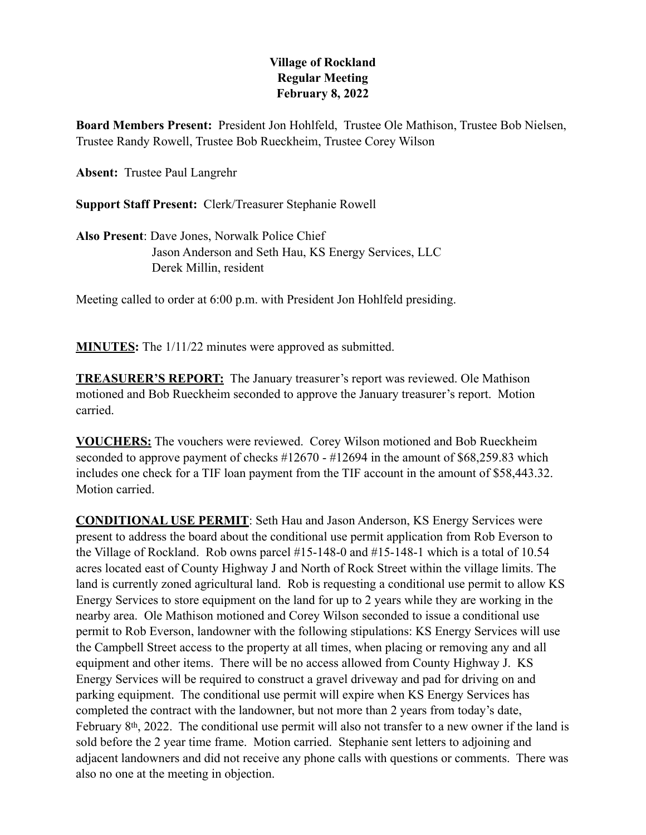## **Village of Rockland Regular Meeting February 8, 2022**

**Board Members Present:** President Jon Hohlfeld, Trustee Ole Mathison, Trustee Bob Nielsen, Trustee Randy Rowell, Trustee Bob Rueckheim, Trustee Corey Wilson

**Absent:** Trustee Paul Langrehr

**Support Staff Present:** Clerk/Treasurer Stephanie Rowell

**Also Present**: Dave Jones, Norwalk Police Chief Jason Anderson and Seth Hau, KS Energy Services, LLC Derek Millin, resident

Meeting called to order at 6:00 p.m. with President Jon Hohlfeld presiding.

**MINUTES:** The 1/11/22 minutes were approved as submitted.

**TREASURER'S REPORT:** The January treasurer's report was reviewed. Ole Mathison motioned and Bob Rueckheim seconded to approve the January treasurer's report. Motion carried.

**VOUCHERS:** The vouchers were reviewed. Corey Wilson motioned and Bob Rueckheim seconded to approve payment of checks #12670 - #12694 in the amount of \$68,259.83 which includes one check for a TIF loan payment from the TIF account in the amount of \$58,443.32. Motion carried.

**CONDITIONAL USE PERMIT**: Seth Hau and Jason Anderson, KS Energy Services were present to address the board about the conditional use permit application from Rob Everson to the Village of Rockland. Rob owns parcel #15-148-0 and #15-148-1 which is a total of 10.54 acres located east of County Highway J and North of Rock Street within the village limits. The land is currently zoned agricultural land. Rob is requesting a conditional use permit to allow KS Energy Services to store equipment on the land for up to 2 years while they are working in the nearby area. Ole Mathison motioned and Corey Wilson seconded to issue a conditional use permit to Rob Everson, landowner with the following stipulations: KS Energy Services will use the Campbell Street access to the property at all times, when placing or removing any and all equipment and other items. There will be no access allowed from County Highway J. KS Energy Services will be required to construct a gravel driveway and pad for driving on and parking equipment. The conditional use permit will expire when KS Energy Services has completed the contract with the landowner, but not more than 2 years from today's date, February 8th, 2022. The conditional use permit will also not transfer to a new owner if the land is sold before the 2 year time frame. Motion carried. Stephanie sent letters to adjoining and adjacent landowners and did not receive any phone calls with questions or comments. There was also no one at the meeting in objection.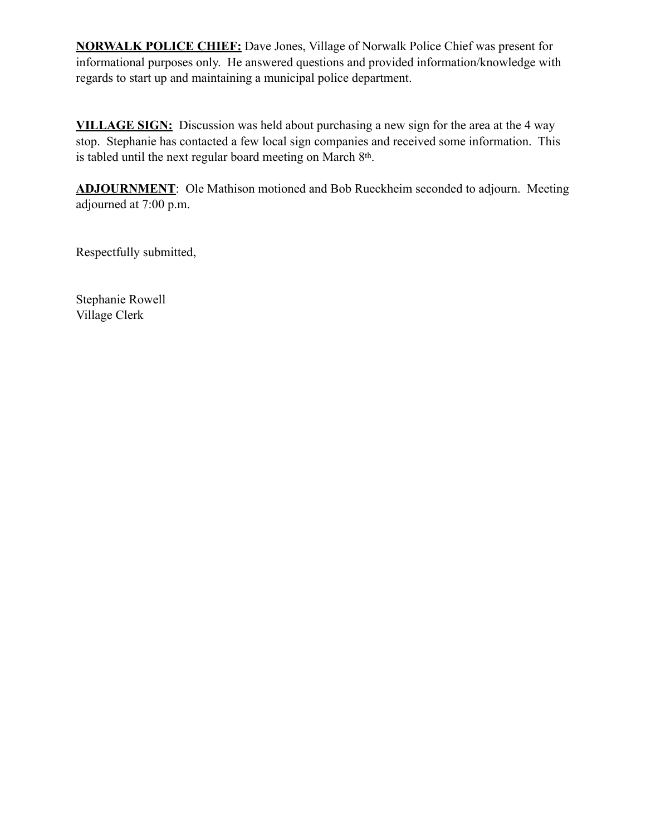**NORWALK POLICE CHIEF:** Dave Jones, Village of Norwalk Police Chief was present for informational purposes only. He answered questions and provided information/knowledge with regards to start up and maintaining a municipal police department.

**VILLAGE SIGN:** Discussion was held about purchasing a new sign for the area at the 4 way stop. Stephanie has contacted a few local sign companies and received some information. This is tabled until the next regular board meeting on March 8th.

**ADJOURNMENT**: Ole Mathison motioned and Bob Rueckheim seconded to adjourn. Meeting adjourned at 7:00 p.m.

Respectfully submitted,

Stephanie Rowell Village Clerk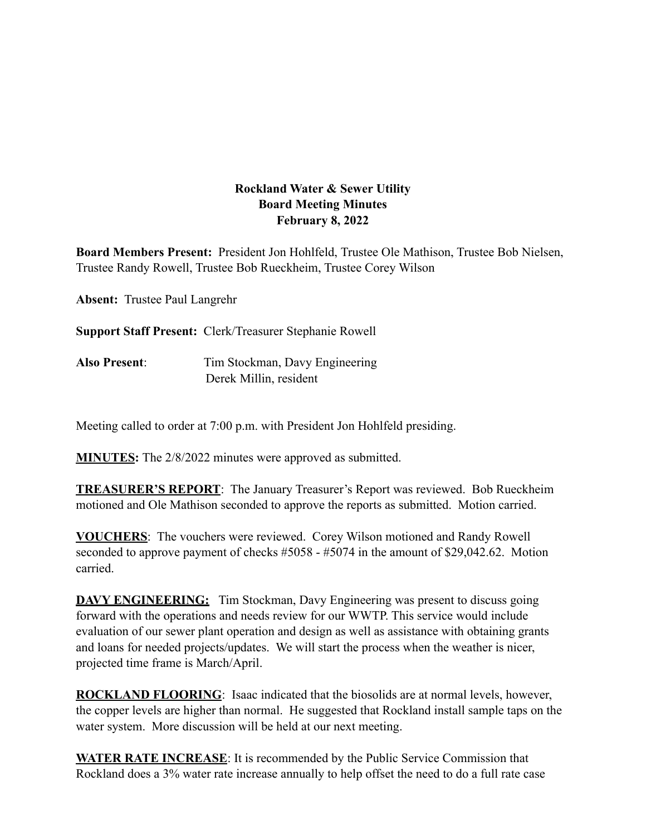## **Rockland Water & Sewer Utility Board Meeting Minutes February 8, 2022**

**Board Members Present:** President Jon Hohlfeld, Trustee Ole Mathison, Trustee Bob Nielsen, Trustee Randy Rowell, Trustee Bob Rueckheim, Trustee Corey Wilson

**Absent:** Trustee Paul Langrehr

**Support Staff Present:** Clerk/Treasurer Stephanie Rowell

**Also Present**: Tim Stockman, Davy Engineering Derek Millin, resident

Meeting called to order at 7:00 p.m. with President Jon Hohlfeld presiding.

**MINUTES:** The 2/8/2022 minutes were approved as submitted.

**TREASURER'S REPORT**: The January Treasurer's Report was reviewed. Bob Rueckheim motioned and Ole Mathison seconded to approve the reports as submitted. Motion carried.

**VOUCHERS**: The vouchers were reviewed. Corey Wilson motioned and Randy Rowell seconded to approve payment of checks #5058 - #5074 in the amount of \$29,042.62. Motion carried.

**DAVY ENGINEERING:** Tim Stockman, Davy Engineering was present to discuss going forward with the operations and needs review for our WWTP. This service would include evaluation of our sewer plant operation and design as well as assistance with obtaining grants and loans for needed projects/updates. We will start the process when the weather is nicer, projected time frame is March/April.

**ROCKLAND FLOORING**: Isaac indicated that the biosolids are at normal levels, however, the copper levels are higher than normal. He suggested that Rockland install sample taps on the water system. More discussion will be held at our next meeting.

**WATER RATE INCREASE**: It is recommended by the Public Service Commission that Rockland does a 3% water rate increase annually to help offset the need to do a full rate case